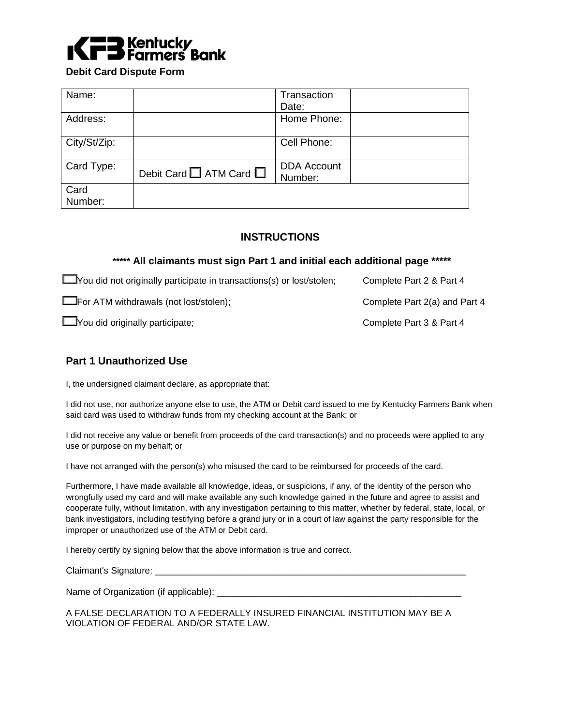

**Debit Card Dispute Form** 

| Name:           |                                   | Transaction                   |  |
|-----------------|-----------------------------------|-------------------------------|--|
|                 |                                   | Date:                         |  |
| Address:        |                                   | Home Phone:                   |  |
| City/St/Zip:    |                                   | Cell Phone:                   |  |
| Card Type:      | Debit Card $\Box$ ATM Card $\Box$ | <b>DDA Account</b><br>Number: |  |
| Card<br>Number: |                                   |                               |  |

### **INSTRUCTIONS**

### **\*\*\*\*\* All claimants must sign Part 1 and initial each additional page \*\*\*\*\***

| <b>EXADELY</b> You did not originally participate in transactions(s) or lost/stolen; | Complete Part 2 & Part 4      |
|--------------------------------------------------------------------------------------|-------------------------------|
| For ATM withdrawals (not lost/stolen);                                               | Complete Part 2(a) and Part 4 |
| Vou did originally participate;                                                      | Complete Part 3 & Part 4      |

### **Part 1 Unauthorized Use**

I, the undersigned claimant declare, as appropriate that:

I did not use, nor authorize anyone else to use, the ATM or Debit card issued to me by Kentucky Farmers Bank when said card was used to withdraw funds from my checking account at the Bank; or

I did not receive any value or benefit from proceeds of the card transaction(s) and no proceeds were applied to any use or purpose on my behalf; or

I have not arranged with the person(s) who misused the card to be reimbursed for proceeds of the card.

Furthermore, I have made available all knowledge, ideas, or suspicions, if any, of the identity of the person who wrongfully used my card and will make available any such knowledge gained in the future and agree to assist and cooperate fully, without limitation, with any investigation pertaining to this matter, whether by federal, state, local, or bank investigators, including testifying before a grand jury or in a court of law against the party responsible for the improper or unauthorized use of the ATM or Debit card.

I hereby certify by signing below that the above information is true and correct.

Claimant's Signature:

Name of Organization (if applicable): \_\_\_\_\_\_\_\_\_\_\_\_\_\_\_\_\_\_\_\_\_\_\_\_\_\_\_\_\_\_\_\_\_\_\_\_\_\_\_\_\_\_\_\_\_\_\_\_

A FALSE DECLARATION TO A FEDERALLY INSURED FINANCIAL INSTITUTION MAY BE A VIOLATION OF FEDERAL AND/OR STATE LAW.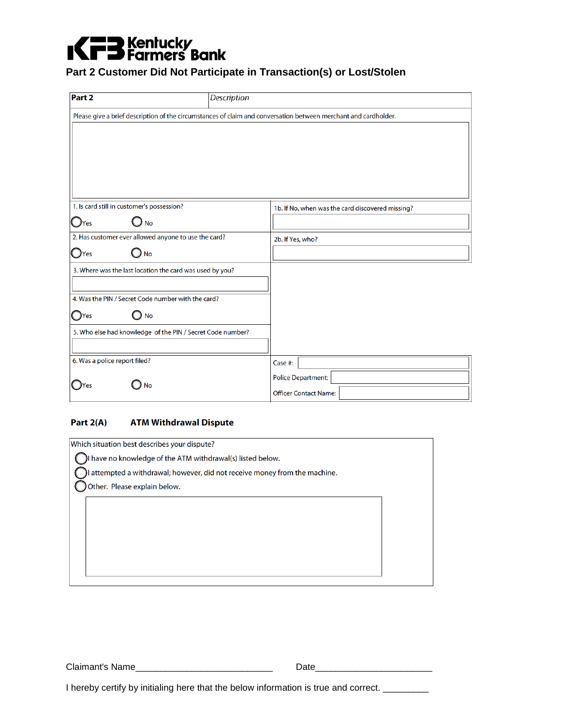# **KFB** Farmers Bank

### **Part 2 Customer Did Not Participate in Transaction(s) or Lost/Stolen**

| Part <sub>2</sub>                                          | Description                                                                                                     |
|------------------------------------------------------------|-----------------------------------------------------------------------------------------------------------------|
|                                                            | Please give a brief description of the circumstances of claim and conversation between merchant and cardholder. |
|                                                            |                                                                                                                 |
|                                                            |                                                                                                                 |
|                                                            |                                                                                                                 |
|                                                            |                                                                                                                 |
|                                                            |                                                                                                                 |
| 1. Is card still in customer's possession?                 | 1b. If No, when was the card discovered missing?                                                                |
| $\bigcirc$ No<br>$\mathbf{O}$ Yes                          |                                                                                                                 |
| 2. Has customer ever allowed anyone to use the card?       | 2b. If Yes, who?                                                                                                |
| $\bigcirc$ No<br>$O$ Yes                                   |                                                                                                                 |
| 3. Where was the last location the card was used by you?   |                                                                                                                 |
|                                                            |                                                                                                                 |
| 4. Was the PIN / Secret Code number with the card?         |                                                                                                                 |
| $\bigcirc$ No<br>$O$ Yes                                   |                                                                                                                 |
| 5. Who else had knowledge of the PIN / Secret Code number? |                                                                                                                 |
|                                                            |                                                                                                                 |
| 6. Was a police report filed?                              | Case #:                                                                                                         |
| <b>No</b>                                                  | <b>Police Department:</b>                                                                                       |
|                                                            | <b>Officer Contact Name:</b>                                                                                    |

### **Part 2(A) ATM Withdrawal Dispute**

| Which situation best describes your dispute?                             |  |
|--------------------------------------------------------------------------|--|
| I have no knowledge of the ATM withdrawal(s) listed below.               |  |
| attempted a withdrawal; however, did not receive money from the machine. |  |
| Other. Please explain below.                                             |  |
|                                                                          |  |
|                                                                          |  |
|                                                                          |  |
|                                                                          |  |
|                                                                          |  |
|                                                                          |  |

Claimant's Name\_\_\_\_\_\_\_\_\_\_\_\_\_\_\_\_\_\_\_\_\_\_\_\_\_\_\_ Date\_\_\_\_\_\_\_\_\_\_\_\_\_\_\_\_\_\_\_\_\_\_\_

I hereby certify by initialing here that the below information is true and correct. \_\_\_\_\_\_\_\_\_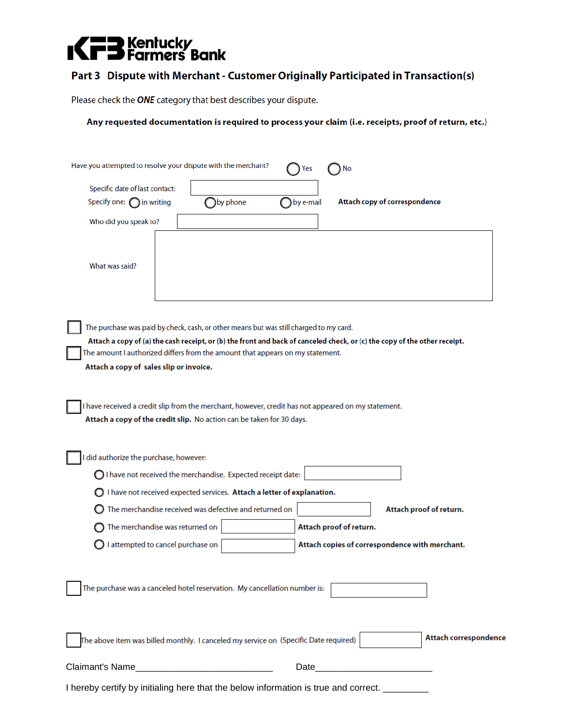## **KED** Farmers Bank

### **Part 3 Dispute with Merchant - Customer Originally Participated in Transaction(s)**

Please check the **ONE** category that best describes your dispute.

### **Any requested documentation is required to process your claim (i.e. receipts, proof of return, etc.)**

| Have you attempted to resolve your dispute with the merchant?                                                                                                                                                                                                                                                                                   |          | Nο                      |                                                |
|-------------------------------------------------------------------------------------------------------------------------------------------------------------------------------------------------------------------------------------------------------------------------------------------------------------------------------------------------|----------|-------------------------|------------------------------------------------|
| Specific date of last contact:                                                                                                                                                                                                                                                                                                                  |          |                         |                                                |
| Specify one: $\bigcap$ in writing                                                                                                                                                                                                                                                                                                               | by phone | by e-mail               | Attach copy of correspondence                  |
| Who did you speak to?                                                                                                                                                                                                                                                                                                                           |          |                         |                                                |
| What was said?                                                                                                                                                                                                                                                                                                                                  |          |                         |                                                |
| The purchase was paid by check, cash, or other means but was still charged to my card.<br>Attach a copy of (a) the cash receipt, or (b) the front and back of canceled check, or (c) the copy of the other receipt.<br>The amount I authorized differs from the amount that appears on my statement.<br>Attach a copy of sales slip or invoice. |          |                         |                                                |
| I have received a credit slip from the merchant, however, credit has not appeared on my statement.<br>Attach a copy of the credit slip. No action can be taken for 30 days.                                                                                                                                                                     |          |                         |                                                |
| did authorize the purchase, however:                                                                                                                                                                                                                                                                                                            |          |                         |                                                |
| $\bigcirc$ I have not received the merchandise. Expected receipt date:                                                                                                                                                                                                                                                                          |          |                         |                                                |
| $\bigcirc$ I have not received expected services. Attach a letter of explanation.                                                                                                                                                                                                                                                               |          |                         |                                                |
| The merchandise received was defective and returned on                                                                                                                                                                                                                                                                                          |          |                         | Attach proof of return.                        |
| The merchandise was returned on                                                                                                                                                                                                                                                                                                                 |          | Attach proof of return. |                                                |
| I attempted to cancel purchase on                                                                                                                                                                                                                                                                                                               |          |                         | Attach copies of correspondence with merchant. |
| The purchase was a canceled hotel reservation. My cancellation number is:                                                                                                                                                                                                                                                                       |          |                         |                                                |
| The above item was billed monthly. I canceled my service on (Specific Date required)                                                                                                                                                                                                                                                            |          |                         | Attach correspondence                          |
|                                                                                                                                                                                                                                                                                                                                                 |          |                         |                                                |
| I hereby certify by initialing here that the below information is true and correct. ______                                                                                                                                                                                                                                                      |          |                         |                                                |